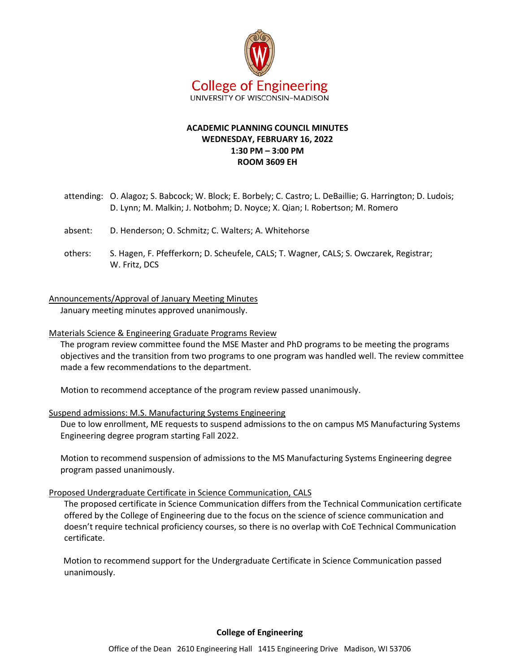

# **ACADEMIC PLANNING COUNCIL MINUTES WEDNESDAY, FEBRUARY 16, 2022 1:30 PM – 3:00 PM ROOM 3609 EH**

- attending: O. Alagoz; S. Babcock; W. Block; E. Borbely; C. Castro; L. DeBaillie; G. Harrington; D. Ludois; D. Lynn; M. Malkin; J. Notbohm; D. Noyce; X. Qian; I. Robertson; M. Romero
- absent: D. Henderson; O. Schmitz; C. Walters; A. Whitehorse
- others: S. Hagen, F. Pfefferkorn; D. Scheufele, CALS; T. Wagner, CALS; S. Owczarek, Registrar; W. Fritz, DCS

Announcements/Approval of January Meeting Minutes

January meeting minutes approved unanimously.

### Materials Science & Engineering Graduate Programs Review

The program review committee found the MSE Master and PhD programs to be meeting the programs objectives and the transition from two programs to one program was handled well. The review committee made a few recommendations to the department.

Motion to recommend acceptance of the program review passed unanimously.

### Suspend admissions: M.S. Manufacturing Systems Engineering

Due to low enrollment, ME requests to suspend admissions to the on campus MS Manufacturing Systems Engineering degree program starting Fall 2022.

Motion to recommend suspension of admissions to the MS Manufacturing Systems Engineering degree program passed unanimously.

## Proposed Undergraduate Certificate in Science Communication, CALS

The proposed certificate in Science Communication differs from the Technical Communication certificate offered by the College of Engineering due to the focus on the science of science communication and doesn't require technical proficiency courses, so there is no overlap with CoE Technical Communication certificate.

Motion to recommend support for the Undergraduate Certificate in Science Communication passed unanimously.

**College of Engineering**